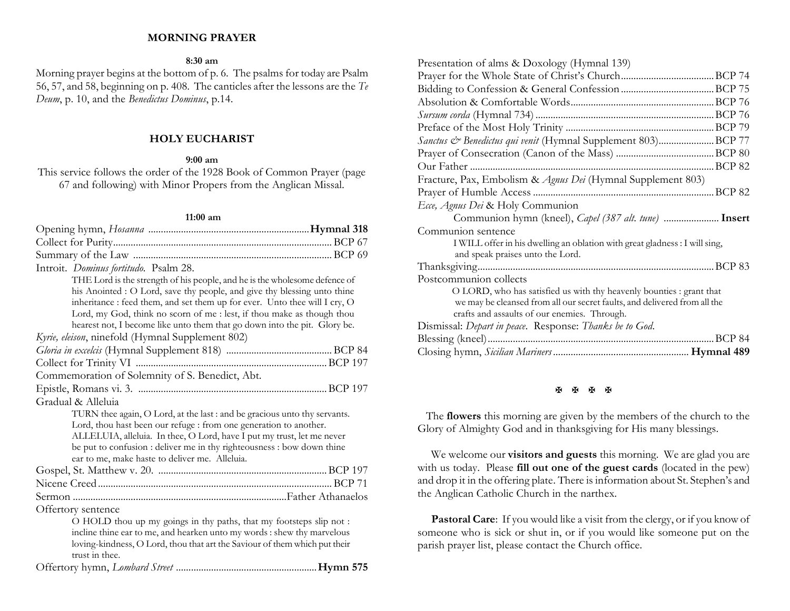# **MORNING PRAYER**

#### **8:30 am**

Morning prayer begins at the bottom of p. 6. The psalms for today are Psalm 56, 57, and 58, beginning on p. 408. The canticles after the lessons are the *Te Deum*, p. 10, and the *Benedictus Dominus*, p.14.

# **HOLY EUCHARIST**

### **9:00 am**

This service follows the order of the 1928 Book of Common Prayer (page 67 and following) with Minor Propers from the Anglican Missal.

#### **11:00 am**

| Introit. Dominus fortitudo. Psalm 28.                                      |
|----------------------------------------------------------------------------|
| THE Lord is the strength of his people, and he is the wholesome defence of |
| his Anointed : O Lord, save thy people, and give thy blessing unto thine   |
| inheritance : feed them, and set them up for ever. Unto thee will I cry, O |
| Lord, my God, think no scorn of me : lest, if thou make as though thou     |
| hearest not, I become like unto them that go down into the pit. Glory be.  |
| Kyrie, eleison, ninefold (Hymnal Supplement 802)                           |
|                                                                            |
|                                                                            |
| Commemoration of Solemnity of S. Benedict, Abt.                            |
|                                                                            |
| Gradual & Alleluia                                                         |
| TURN thee again, O Lord, at the last : and be gracious unto thy servants.  |
| Lord, thou hast been our refuge : from one generation to another.          |
| ALLELUIA, alleluia. In thee, O Lord, have I put my trust, let me never     |
| be put to confusion : deliver me in thy righteousness : bow down thine     |
| ear to me, make haste to deliver me. Alleluia.                             |
|                                                                            |
|                                                                            |
|                                                                            |
| Offertory sentence                                                         |
| O HOLD thou up my goings in thy paths, that my footsteps slip not :        |
| incline thine ear to me, and hearken unto my words : shew thy marvelous    |
| loving-kindness, O Lord, thou that art the Saviour of them which put their |
| trust in thee.                                                             |
|                                                                            |

| Presentation of alms & Doxology (Hymnal 139)                                |
|-----------------------------------------------------------------------------|
|                                                                             |
|                                                                             |
|                                                                             |
|                                                                             |
|                                                                             |
| Sanctus & Benedictus qui venit (Hymnal Supplement 803)BCP 77                |
|                                                                             |
|                                                                             |
| Fracture, Pax, Embolism & Agnus Dei (Hymnal Supplement 803)                 |
|                                                                             |
| Ecce, Agnus Dei & Holy Communion                                            |
| Communion hymn (kneel), <i>Capel (387 alt. tune)</i> Insert                 |
| Communion sentence                                                          |
| I WILL offer in his dwelling an oblation with great gladness : I will sing, |
| and speak praises unto the Lord.                                            |
|                                                                             |
| Postcommunion collects                                                      |
| O LORD, who has satisfied us with thy heavenly bounties : grant that        |
| we may be cleansed from all our secret faults, and delivered from all the   |
| crafts and assaults of our enemies. Through.                                |
| Dismissal: Depart in peace. Response: Thanks be to God.                     |
| . BCP 84                                                                    |

#### **H H H H**

The **flowers** this morning are given by the members of the church to the Glory of Almighty God and in thanksgiving for His many blessings.

We welcome our **visitors and guests** this morning. We are glad you are with us today. Please **fill out one of the guest cards** (located in the pew) and drop it in the offering plate. There is information about St. Stephen's and the Anglican Catholic Church in the narthex.

Pastoral Care: If you would like a visit from the clergy, or if you know of someone who is sick or shut in, or if you would like someone put on the parish prayer list, please contact the Church office.